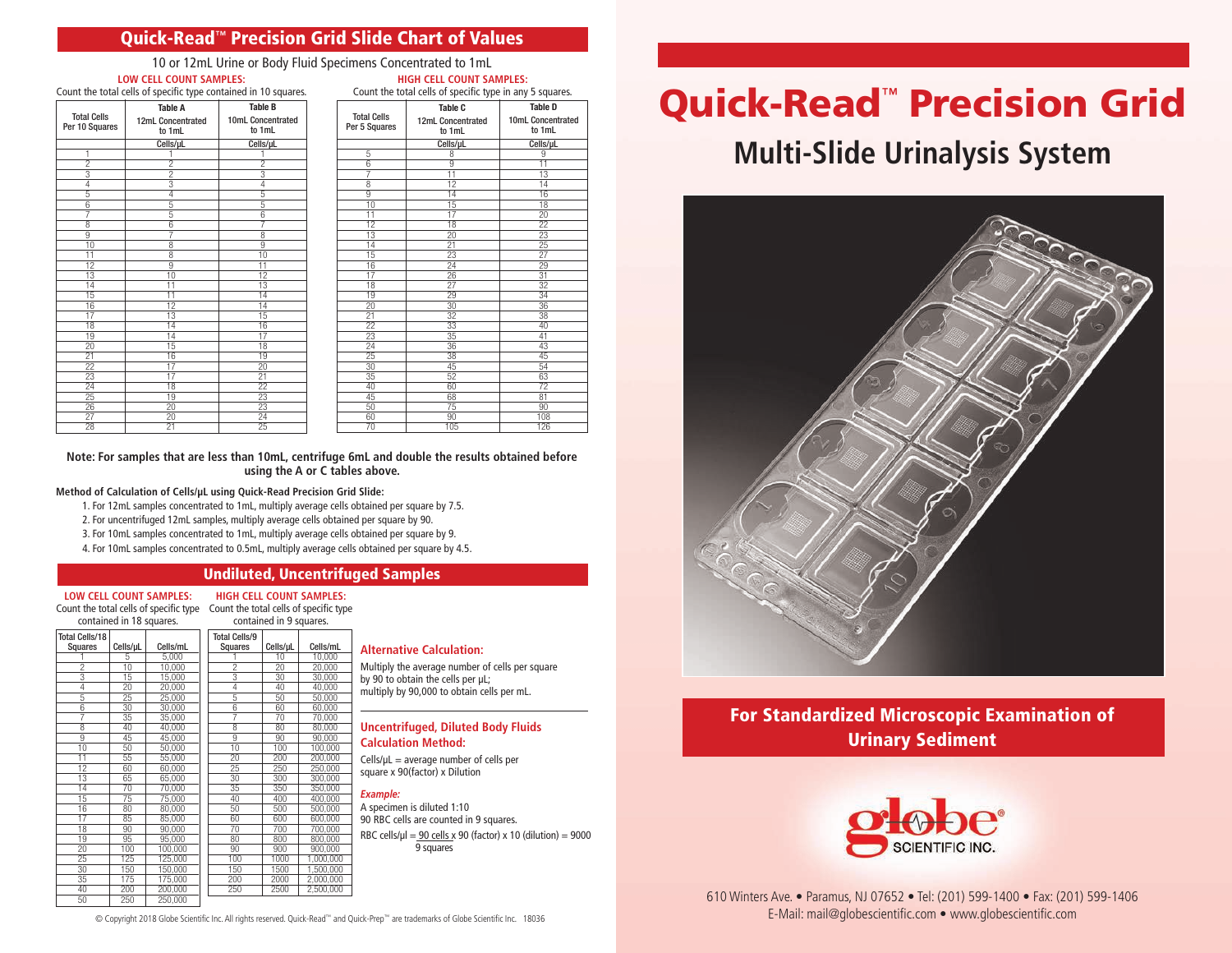## Quick-Read**™** Precision Grid Slide Chart of Values

10 or 12mL Urine or Body Fluid Specimens Concentrated to 1mL **LOW CELL COUNT SAMPLES: HIGH CELL COUNT SAMPLES:**

|  | Count the total cells of specific type contained in 10 squares. |                             |                             |  |  |  |  |  |  |
|--|-----------------------------------------------------------------|-----------------------------|-----------------------------|--|--|--|--|--|--|
|  | <b>Total Cells</b><br>Per 10 Squares                            | <b>Table A</b>              | <b>Table B</b>              |  |  |  |  |  |  |
|  |                                                                 | 12mL Concentrated<br>to 1mL | 10mL Concentrated<br>to 1mL |  |  |  |  |  |  |
|  |                                                                 | Cells/uL                    | Cells/uL                    |  |  |  |  |  |  |
|  |                                                                 |                             |                             |  |  |  |  |  |  |
|  |                                                                 |                             |                             |  |  |  |  |  |  |
|  |                                                                 |                             |                             |  |  |  |  |  |  |
|  |                                                                 |                             |                             |  |  |  |  |  |  |
|  |                                                                 |                             | 5                           |  |  |  |  |  |  |
|  |                                                                 |                             | 5                           |  |  |  |  |  |  |
|  |                                                                 |                             |                             |  |  |  |  |  |  |

| Count the total cells of specific type in any 5 squares. |                             |                             |  |  |  |  |  |  |
|----------------------------------------------------------|-----------------------------|-----------------------------|--|--|--|--|--|--|
|                                                          | Table C                     | <b>Table D</b>              |  |  |  |  |  |  |
| <b>Total Cells</b><br>Per 5 Squares                      | 12mL Concentrated<br>to 1mL | 10mL Concentrated<br>to 1mL |  |  |  |  |  |  |
|                                                          | Cells/µL                    | Cells/µL                    |  |  |  |  |  |  |
| 5                                                        | 8                           | 9                           |  |  |  |  |  |  |
| $\overline{6}$                                           | $\overline{9}$              | $\overline{11}$             |  |  |  |  |  |  |
| 7                                                        | 11                          | 13                          |  |  |  |  |  |  |
| 8                                                        | $\overline{12}$             | $\overline{14}$             |  |  |  |  |  |  |
| 9                                                        | 14                          | 16                          |  |  |  |  |  |  |
| 10                                                       | 15                          | 18                          |  |  |  |  |  |  |
| 11                                                       | $\overline{17}$             | $\overline{20}$             |  |  |  |  |  |  |
| $\overline{1}2$                                          | 18                          | $\overline{22}$             |  |  |  |  |  |  |
| 13                                                       | $\overline{20}$             | 23                          |  |  |  |  |  |  |
| 14                                                       | 21                          | 25                          |  |  |  |  |  |  |
| 15                                                       | 23                          | $\overline{27}$             |  |  |  |  |  |  |
| 16                                                       | $\overline{24}$             | 29                          |  |  |  |  |  |  |
| 17                                                       | 26                          | 31                          |  |  |  |  |  |  |
| 18                                                       | $\overline{27}$             | $\overline{32}$             |  |  |  |  |  |  |
| 19                                                       | 29                          | 34                          |  |  |  |  |  |  |
| 20                                                       | 30                          | 36                          |  |  |  |  |  |  |
| 21                                                       | $\overline{32}$             | 38                          |  |  |  |  |  |  |
| $\overline{22}$                                          | 33                          | 40                          |  |  |  |  |  |  |
| 23                                                       | 35                          | 41                          |  |  |  |  |  |  |
| 24                                                       | 36                          | 43                          |  |  |  |  |  |  |
| $\overline{25}$                                          | 38                          | 45                          |  |  |  |  |  |  |
| 30                                                       | 45                          | 54                          |  |  |  |  |  |  |
| $\overline{35}$                                          | $\overline{52}$             | 63                          |  |  |  |  |  |  |
| 40                                                       | 60                          | $\overline{72}$             |  |  |  |  |  |  |
| 45                                                       | 68                          | 81                          |  |  |  |  |  |  |
| 50                                                       | 75                          | 90                          |  |  |  |  |  |  |
| 60                                                       | 90                          | 108                         |  |  |  |  |  |  |
| 70                                                       | 105                         | 126                         |  |  |  |  |  |  |

**Note: For samples that are less than 10mL, centrifuge 6mL and double the results obtained before using the A or C tables above.** 

#### **Method of Calculation of Cells/µL using Quick-Read Precision Grid Slide:**

- 1. For 12mL samples concentrated to 1mL, multiply average cells obtained per square by 7.5.
- 2. For uncentrifuged 12mL samples, multiply average cells obtained per square by 90.
- 3. For 10mL samples concentrated to 1mL, multiply average cells obtained per square by 9.
- 4. For 10mL samples concentrated to 0.5mL, multiply average cells obtained per square by 4.5.

#### Undiluted, Uncentrifuged Samples

**LOW CELL COUNT SAMPLES:** Count the total cells of specific type Count the total cells of specific type

**HIGH CELL COUNT SAMPLES:**

| contained in 18 squares.         |          |          | contained in 9 squares.         |          |           |
|----------------------------------|----------|----------|---------------------------------|----------|-----------|
| <b>Total Cells/18</b><br>Squares | Cells/µL | Cells/mL | <b>Total Cells/9</b><br>Squares | Cells/µL | Cells/mL  |
|                                  | 5        | 5.000    |                                 | 10       | 10.000    |
| $\overline{2}$                   | 10       | 10,000   | $\overline{2}$                  | 20       | 20,000    |
| 3                                | 15       | 15,000   | 3                               | 30       | 30,000    |
| $\overline{4}$                   | 20       | 20.000   | 4                               | 40       | 40,000    |
| $\overline{5}$                   | 25       | 25,000   | $\overline{5}$                  | 50       | 50,000    |
| $\overline{6}$                   | 30       | 30,000   | $\overline{6}$                  | 60       | 60,000    |
| 7                                | 35       | 35,000   | 7                               | 70       | 70,000    |
| $\overline{\mathbf{8}}$          | 40       | 40,000   | $\overline{\mathbf{8}}$         | 80       | 80,000    |
| $\overline{9}$                   | 45       | 45,000   | $\overline{9}$                  | 90       | 90,000    |
| 10                               | 50       | 50,000   | 10                              | 100      | 100,000   |
| 11                               | 55       | 55,000   | 20                              | 200      | 200,000   |
| 12                               | 60       | 60,000   | 25                              | 250      | 250,000   |
| 13                               | 65       | 65,000   | 30                              | 300      | 300,000   |
| 14                               | 70       | 70,000   | $\overline{35}$                 | 350      | 350,000   |
| 15                               | 75       | 75,000   | 40                              | 400      | 400,000   |
| 16                               | 80       | 80,000   | 50                              | 500      | 500,000   |
| 17                               | 85       | 85,000   | 60                              | 600      | 600,000   |
| 18                               | 90       | 90,000   | 70                              | 700      | 700,000   |
| 19                               | 95       | 95,000   | 80                              | 800      | 800,000   |
| $\overline{20}$                  | 100      | 100,000  | 90                              | 900      | 900,000   |
| 25                               | 125      | 125,000  | 100                             | 1000     | 1,000,000 |
| 30                               | 150      | 150,000  | 150                             | 1500     | 1,500,000 |
| 35                               | 175      | 175,000  | 200                             | 2000     | 2,000,000 |
| 40                               | 200      | 200,000  | 250                             | 2500     | 2,500,000 |
| 50                               | 250      | 250,000  |                                 |          |           |

#### **Alternative Calculation:**

Multiply the average number of cells per square by 90 to obtain the cells per µL; multiply by 90,000 to obtain cells per mL.

#### **Uncentrifuged, Diluted Body Fluids Calculation Method:**

 $Cells/µL = average number of cells per$ square x 90(factor) x Dilution

*Example:* A specimen is diluted 1:10 90 RBC cells are counted in 9 squares. RBC cells/ $\mu$ l = 90 cells x 90 (factor) x 10 (dilution) = 9000 9 squares

# Quick-Read™ Precision Grid

## **Multi-Slide Urinalysis System**



For Standardized Microscopic Examination of Urinary Sediment



610 Winters Ave. • Paramus, NJ 07652 • Tel: (201) 599-1400 • Fax: (201) 599-1406 <u>■ Copyright 2018 Globe Scientific Inc. All rights reserved. Quick-Read™ and Quick-Prep™ are trademarks of Globe Scientific Inc. 18036 E-Mail: mail@globescientific.com ● www.globescientific.com ■ www.globescientific.com ■</u>